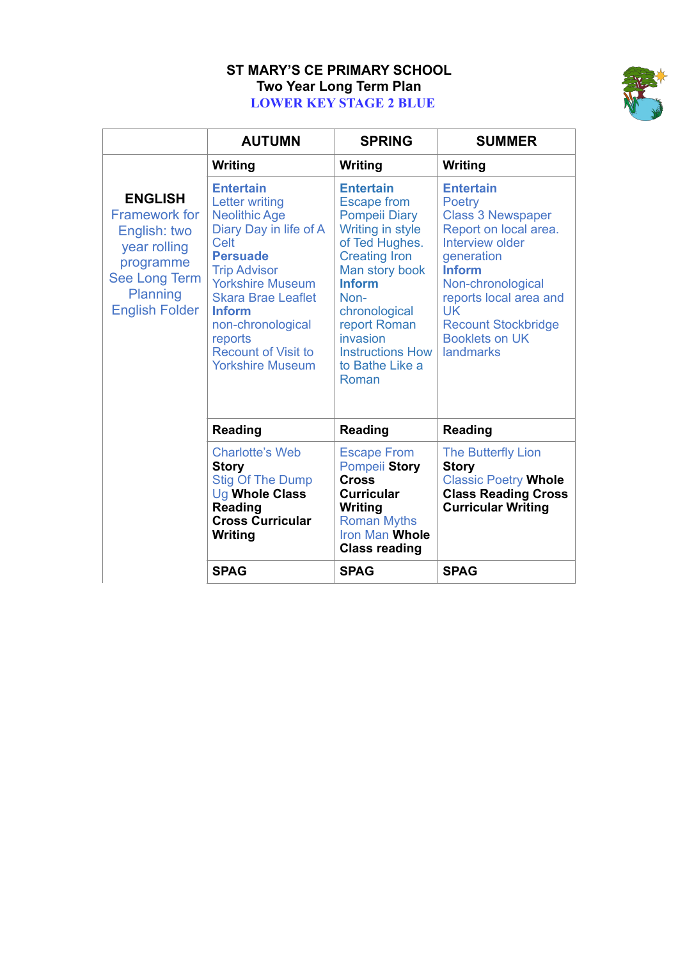## **ST MARY'S CE PRIMARY SCHOOL Two Year Long Term Plan LOWER KEY STAGE 2 BLUE**



|                                                                                                                                                  | <b>AUTUMN</b>                                                                                                                                                                                                                                                                                                          | <b>SPRING</b>                                                                                                                                                                                                                                                               | <b>SUMMER</b>                                                                                                                                                                                                                                                     |
|--------------------------------------------------------------------------------------------------------------------------------------------------|------------------------------------------------------------------------------------------------------------------------------------------------------------------------------------------------------------------------------------------------------------------------------------------------------------------------|-----------------------------------------------------------------------------------------------------------------------------------------------------------------------------------------------------------------------------------------------------------------------------|-------------------------------------------------------------------------------------------------------------------------------------------------------------------------------------------------------------------------------------------------------------------|
|                                                                                                                                                  | <b>Writing</b>                                                                                                                                                                                                                                                                                                         | Writing                                                                                                                                                                                                                                                                     | Writing                                                                                                                                                                                                                                                           |
| <b>ENGLISH</b><br><b>Framework for</b><br>English: two<br>year rolling<br>programme<br><b>See Long Term</b><br>Planning<br><b>English Folder</b> | <b>Entertain</b><br><b>Letter writing</b><br><b>Neolithic Age</b><br>Diary Day in life of A<br><b>Celt</b><br><b>Persuade</b><br><b>Trip Advisor</b><br><b>Yorkshire Museum</b><br><b>Skara Brae Leaflet</b><br><b>Inform</b><br>non-chronological<br>reports<br><b>Recount of Visit to</b><br><b>Yorkshire Museum</b> | <b>Entertain</b><br><b>Escape from</b><br><b>Pompeii Diary</b><br>Writing in style<br>of Ted Hughes.<br><b>Creating Iron</b><br>Man story book<br><b>Inform</b><br>Non-<br>chronological<br>report Roman<br>invasion<br><b>Instructions How</b><br>to Bathe Like a<br>Roman | <b>Entertain</b><br>Poetry<br><b>Class 3 Newspaper</b><br>Report on local area.<br>Interview older<br>generation<br><b>Inform</b><br>Non-chronological<br>reports local area and<br><b>UK</b><br><b>Recount Stockbridge</b><br><b>Booklets on UK</b><br>landmarks |
|                                                                                                                                                  | <b>Reading</b>                                                                                                                                                                                                                                                                                                         | <b>Reading</b>                                                                                                                                                                                                                                                              | <b>Reading</b>                                                                                                                                                                                                                                                    |
|                                                                                                                                                  | <b>Charlotte's Web</b><br><b>Story</b><br><b>Stig Of The Dump</b><br>Ug Whole Class<br><b>Reading</b><br><b>Cross Curricular</b><br>Writing                                                                                                                                                                            | <b>Escape From</b><br>Pompeii Story<br><b>Cross</b><br><b>Curricular</b><br>Writing<br><b>Roman Myths</b><br>Iron Man Whole<br><b>Class reading</b>                                                                                                                         | The Butterfly Lion<br><b>Story</b><br><b>Classic Poetry Whole</b><br><b>Class Reading Cross</b><br><b>Curricular Writing</b>                                                                                                                                      |
|                                                                                                                                                  | <b>SPAG</b>                                                                                                                                                                                                                                                                                                            | <b>SPAG</b>                                                                                                                                                                                                                                                                 | <b>SPAG</b>                                                                                                                                                                                                                                                       |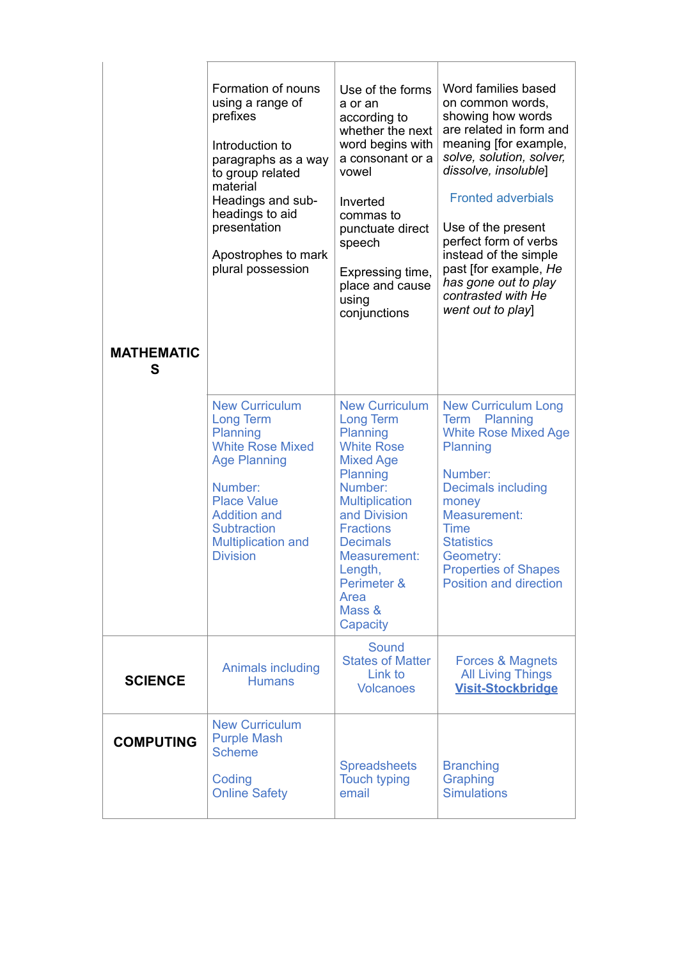| <b>MATHEMATIC</b><br>S | Formation of nouns<br>using a range of<br>prefixes<br>Introduction to<br>paragraphs as a way<br>to group related<br>material<br>Headings and sub-<br>headings to aid<br>presentation<br>Apostrophes to mark<br>plural possession      | Use of the forms<br>a or an<br>according to<br>whether the next<br>word begins with<br>a consonant or a<br>vowel<br>Inverted<br>commas to<br>punctuate direct<br>speech<br>Expressing time,<br>place and cause<br>using<br>conjunctions                                       | Word families based<br>on common words,<br>showing how words<br>are related in form and<br>meaning [for example,<br>solve, solution, solver,<br>dissolve, insoluble]<br><b>Fronted adverbials</b><br>Use of the present<br>perfect form of verbs<br>instead of the simple<br>past [for example, He<br>has gone out to play<br>contrasted with He<br>went out to play] |
|------------------------|---------------------------------------------------------------------------------------------------------------------------------------------------------------------------------------------------------------------------------------|-------------------------------------------------------------------------------------------------------------------------------------------------------------------------------------------------------------------------------------------------------------------------------|-----------------------------------------------------------------------------------------------------------------------------------------------------------------------------------------------------------------------------------------------------------------------------------------------------------------------------------------------------------------------|
|                        | <b>New Curriculum</b><br><b>Long Term</b><br>Planning<br><b>White Rose Mixed</b><br><b>Age Planning</b><br>Number:<br><b>Place Value</b><br><b>Addition and</b><br><b>Subtraction</b><br><b>Multiplication and</b><br><b>Division</b> | <b>New Curriculum</b><br><b>Long Term</b><br>Planning<br><b>White Rose</b><br><b>Mixed Age</b><br>Planning<br>Number:<br><b>Multiplication</b><br>and Division<br><b>Fractions</b><br><b>Decimals</b><br>Measurement:<br>Length,<br>Perimeter &<br>Area<br>Mass &<br>Capacity | <b>New Curriculum Long</b><br>Planning<br><b>Term</b><br><b>White Rose Mixed Age</b><br>Planning<br>Number:<br><b>Decimals including</b><br>money<br>Measurement:<br><b>Time</b><br><b>Statistics</b><br>Geometry:<br><b>Properties of Shapes</b><br><b>Position and direction</b>                                                                                    |
| <b>SCIENCE</b>         | Animals including<br><b>Humans</b>                                                                                                                                                                                                    | Sound<br><b>States of Matter</b><br>Link to<br><b>Volcanoes</b>                                                                                                                                                                                                               | Forces & Magnets<br><b>All Living Things</b><br><b>Visit-Stockbridge</b>                                                                                                                                                                                                                                                                                              |
| <b>COMPUTING</b>       | <b>New Curriculum</b><br><b>Purple Mash</b><br><b>Scheme</b><br>Coding<br><b>Online Safety</b>                                                                                                                                        | <b>Spreadsheets</b><br><b>Touch typing</b><br>email                                                                                                                                                                                                                           | <b>Branching</b><br>Graphing<br><b>Simulations</b>                                                                                                                                                                                                                                                                                                                    |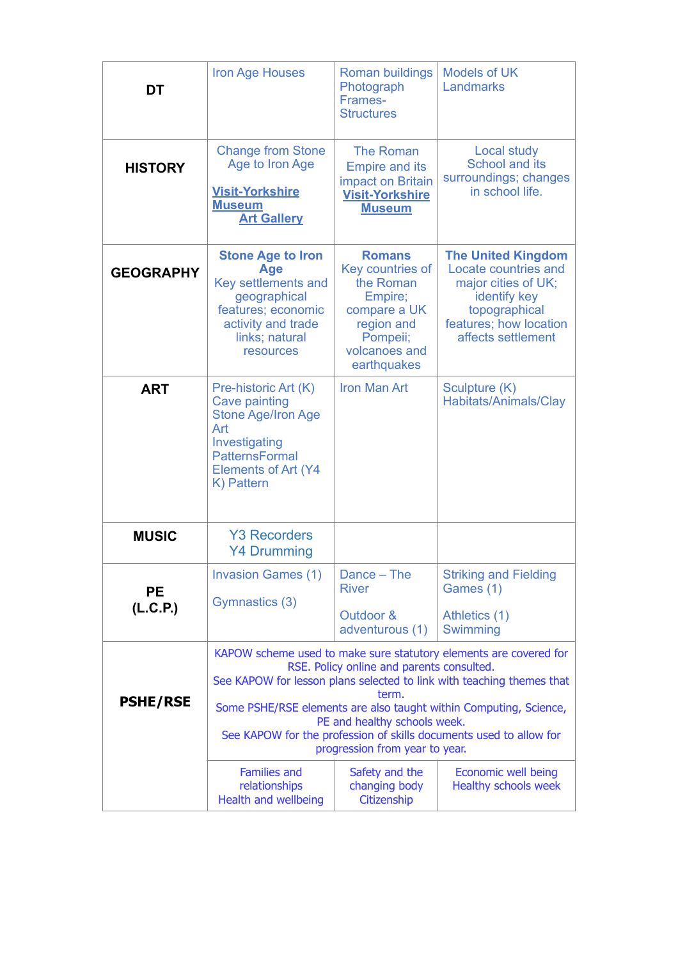| DT                    | <b>Iron Age Houses</b>                                                                                                                                                                                                                                                                                                                                                                                        | Roman buildings<br>Photograph<br>Frames-<br><b>Structures</b>                                                                       | <b>Models of UK</b><br>Landmarks                                                                                                                          |
|-----------------------|---------------------------------------------------------------------------------------------------------------------------------------------------------------------------------------------------------------------------------------------------------------------------------------------------------------------------------------------------------------------------------------------------------------|-------------------------------------------------------------------------------------------------------------------------------------|-----------------------------------------------------------------------------------------------------------------------------------------------------------|
| <b>HISTORY</b>        | <b>Change from Stone</b><br>Age to Iron Age<br><b>Visit-Yorkshire</b><br><b>Museum</b><br><b>Art Gallery</b>                                                                                                                                                                                                                                                                                                  | <b>The Roman</b><br><b>Empire and its</b><br>impact on Britain<br><b>Visit-Yorkshire</b><br><b>Museum</b>                           | Local study<br>School and its<br>surroundings; changes<br>in school life.                                                                                 |
| <b>GEOGRAPHY</b>      | <b>Stone Age to Iron</b><br>Age<br>Key settlements and<br>geographical<br>features; economic<br>activity and trade<br>links; natural<br>resources                                                                                                                                                                                                                                                             | <b>Romans</b><br>Key countries of<br>the Roman<br>Empire;<br>compare a UK<br>region and<br>Pompeii;<br>volcanoes and<br>earthquakes | <b>The United Kingdom</b><br>Locate countries and<br>major cities of UK;<br>identify key<br>topographical<br>features; how location<br>affects settlement |
| <b>ART</b>            | Pre-historic Art (K)<br>Cave painting<br><b>Stone Age/Iron Age</b><br>Art<br>Investigating<br><b>PatternsFormal</b><br><b>Elements of Art (Y4</b><br>K) Pattern                                                                                                                                                                                                                                               | <b>Iron Man Art</b>                                                                                                                 | Sculpture (K)<br>Habitats/Animals/Clay                                                                                                                    |
| <b>MUSIC</b>          | <b>Y3 Recorders</b><br><b>Y4 Drumming</b>                                                                                                                                                                                                                                                                                                                                                                     |                                                                                                                                     |                                                                                                                                                           |
| <b>PE</b><br>(L.C.P.) | <b>Invasion Games (1)</b><br>Gymnastics (3)                                                                                                                                                                                                                                                                                                                                                                   | Dance – The<br><b>River</b><br>Outdoor &<br>adventurous (1)                                                                         | <b>Striking and Fielding</b><br>Games (1)<br>Athletics (1)<br>Swimming                                                                                    |
| <b>PSHE/RSE</b>       | KAPOW scheme used to make sure statutory elements are covered for<br>RSE. Policy online and parents consulted.<br>See KAPOW for lesson plans selected to link with teaching themes that<br>term.<br>Some PSHE/RSE elements are also taught within Computing, Science,<br>PE and healthy schools week.<br>See KAPOW for the profession of skills documents used to allow for<br>progression from year to year. |                                                                                                                                     |                                                                                                                                                           |
|                       | <b>Families and</b><br>relationships<br>Health and wellbeing                                                                                                                                                                                                                                                                                                                                                  | Safety and the<br>changing body<br>Citizenship                                                                                      | Economic well being<br>Healthy schools week                                                                                                               |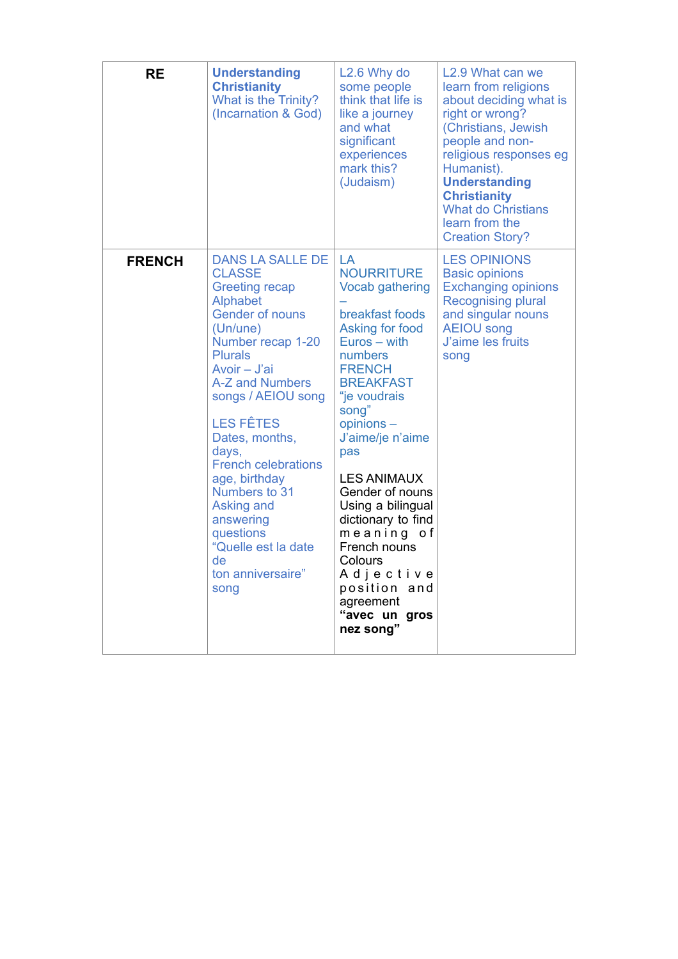| <b>RE</b>     | <b>Understanding</b><br><b>Christianity</b><br>What is the Trinity?<br>(Incarnation & God)                                                                                                                                                                                                                                                                                                                                                  | L <sub>2.6</sub> Why do<br>some people<br>think that life is<br>like a journey<br>and what<br>significant<br>experiences<br>mark this?<br>(Judaism)                                                                                                                                                                                                                                                                           | L2.9 What can we<br>learn from religions<br>about deciding what is<br>right or wrong?<br>(Christians, Jewish<br>people and non-<br>religious responses eg<br>Humanist).<br><b>Understanding</b><br><b>Christianity</b><br><b>What do Christians</b><br>learn from the<br><b>Creation Story?</b> |
|---------------|---------------------------------------------------------------------------------------------------------------------------------------------------------------------------------------------------------------------------------------------------------------------------------------------------------------------------------------------------------------------------------------------------------------------------------------------|-------------------------------------------------------------------------------------------------------------------------------------------------------------------------------------------------------------------------------------------------------------------------------------------------------------------------------------------------------------------------------------------------------------------------------|-------------------------------------------------------------------------------------------------------------------------------------------------------------------------------------------------------------------------------------------------------------------------------------------------|
| <b>FRENCH</b> | <b>DANS LA SALLE DE</b><br><b>CLASSE</b><br><b>Greeting recap</b><br><b>Alphabet</b><br><b>Gender of nouns</b><br>(Un/une)<br>Number recap 1-20<br><b>Plurals</b><br>Avoir - J'ai<br>A-Z and Numbers<br>songs / AEIOU song<br><b>LES FÊTES</b><br>Dates, months,<br>days,<br><b>French celebrations</b><br>age, birthday<br>Numbers to 31<br>Asking and<br>answering<br>questions<br>"Quelle est la date<br>de<br>ton anniversaire"<br>song | LA<br><b>NOURRITURE</b><br><b>Vocab gathering</b><br>breakfast foods<br>Asking for food<br>Euros - with<br>numbers<br><b>FRENCH</b><br><b>BREAKFAST</b><br>"je voudrais<br>song"<br>opinions-<br>J'aime/je n'aime<br>pas<br><b>LES ANIMAUX</b><br>Gender of nouns<br>Using a bilingual<br>dictionary to find<br>meaning of<br>French nouns<br>Colours<br>Adjective<br>position and<br>agreement<br>"avec un gros<br>nez song" | <b>LES OPINIONS</b><br><b>Basic opinions</b><br><b>Exchanging opinions</b><br><b>Recognising plural</b><br>and singular nouns<br><b>AEIOU song</b><br>J'aime les fruits<br>song                                                                                                                 |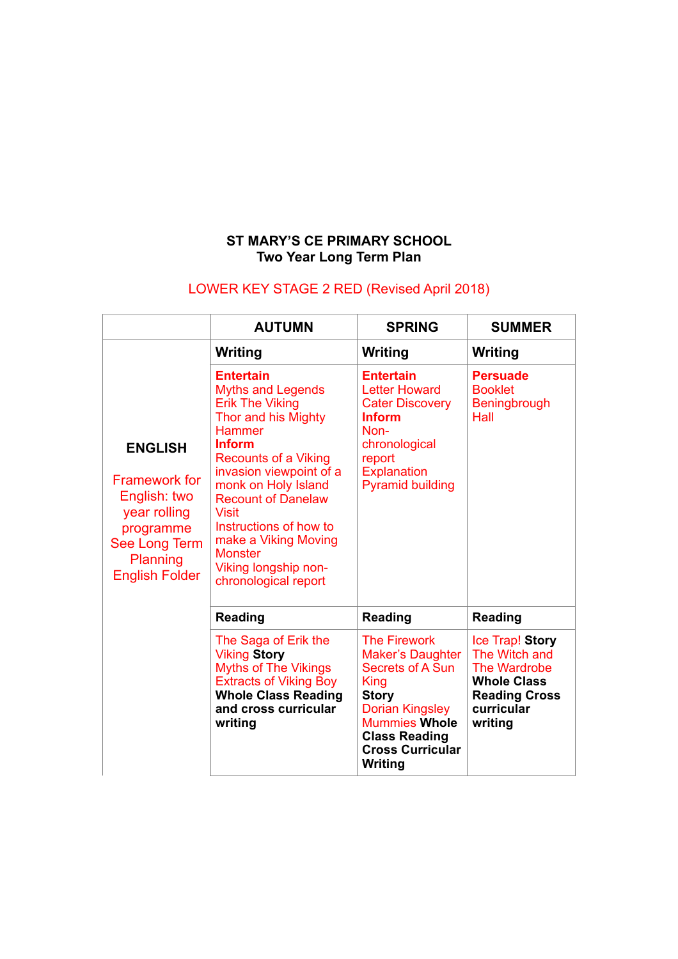## **ST MARY'S CE PRIMARY SCHOOL Two Year Long Term Plan**

## LOWER KEY STAGE 2 RED (Revised April 2018)

|                                                                                                                                           | <b>AUTUMN</b>                                                                                                                                                                                                                                                                                                                                                                     | <b>SPRING</b>                                                                                                                                                                                                     | <b>SUMMER</b>                                                                                                                  |
|-------------------------------------------------------------------------------------------------------------------------------------------|-----------------------------------------------------------------------------------------------------------------------------------------------------------------------------------------------------------------------------------------------------------------------------------------------------------------------------------------------------------------------------------|-------------------------------------------------------------------------------------------------------------------------------------------------------------------------------------------------------------------|--------------------------------------------------------------------------------------------------------------------------------|
|                                                                                                                                           | Writing                                                                                                                                                                                                                                                                                                                                                                           | Writing                                                                                                                                                                                                           | Writing                                                                                                                        |
| <b>ENGLISH</b><br><b>Framework for</b><br>English: two<br>year rolling<br>programme<br>See Long Term<br>Planning<br><b>English Folder</b> | <b>Entertain</b><br><b>Myths and Legends</b><br><b>Erik The Viking</b><br>Thor and his Mighty<br><b>Hammer</b><br><b>Inform</b><br><b>Recounts of a Viking</b><br>invasion viewpoint of a<br>monk on Holy Island<br><b>Recount of Danelaw</b><br><b>Visit</b><br>Instructions of how to<br>make a Viking Moving<br><b>Monster</b><br>Viking longship non-<br>chronological report | <b>Entertain</b><br><b>Letter Howard</b><br><b>Cater Discovery</b><br><b>Inform</b><br>Non-<br>chronological<br>report<br><b>Explanation</b><br><b>Pyramid building</b>                                           | <b>Persuade</b><br><b>Booklet</b><br>Beningbrough<br>Hall                                                                      |
|                                                                                                                                           | <b>Reading</b>                                                                                                                                                                                                                                                                                                                                                                    | <b>Reading</b>                                                                                                                                                                                                    | <b>Reading</b>                                                                                                                 |
|                                                                                                                                           | The Saga of Erik the<br><b>Viking Story</b><br><b>Myths of The Vikings</b><br><b>Extracts of Viking Boy</b><br><b>Whole Class Reading</b><br>and cross curricular<br>writing                                                                                                                                                                                                      | <b>The Firework</b><br><b>Maker's Daughter</b><br>Secrets of A Sun<br><b>King</b><br><b>Story</b><br><b>Dorian Kingsley</b><br><b>Mummies Whole</b><br><b>Class Reading</b><br><b>Cross Curricular</b><br>Writing | Ice Trap! Story<br>The Witch and<br><b>The Wardrobe</b><br><b>Whole Class</b><br><b>Reading Cross</b><br>curricular<br>writing |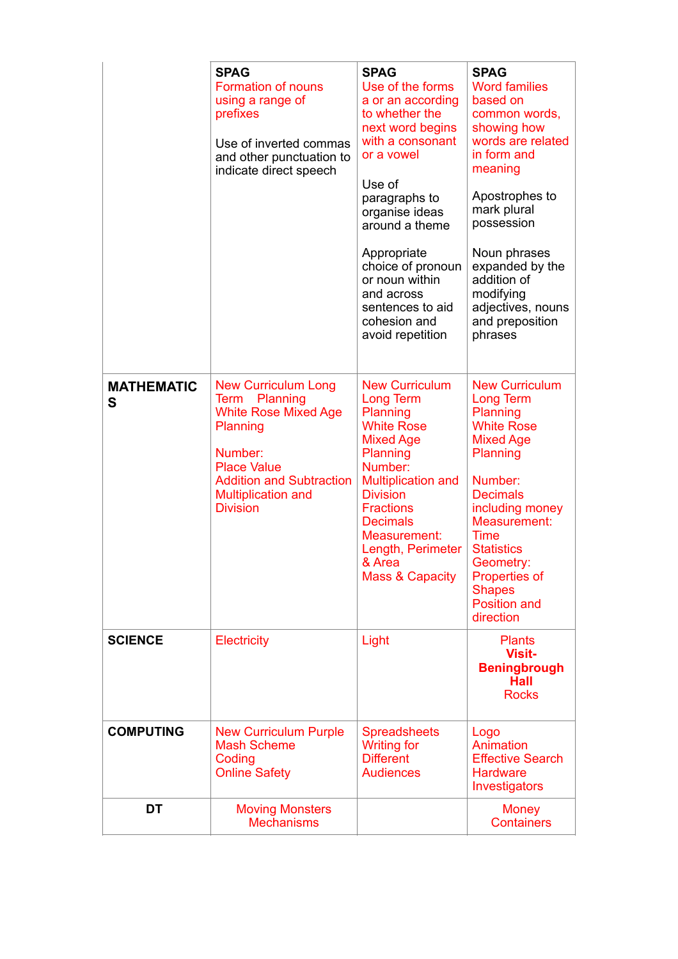|                        | <b>SPAG</b><br><b>Formation of nouns</b><br>using a range of<br>prefixes<br>Use of inverted commas<br>and other punctuation to<br>indicate direct speech                                                      | <b>SPAG</b><br>Use of the forms<br>a or an according<br>to whether the<br>next word begins<br>with a consonant<br>or a vowel<br>Use of<br>paragraphs to<br>organise ideas<br>around a theme<br>Appropriate<br>choice of pronoun<br>or noun within<br>and across<br>sentences to aid<br>cohesion and<br>avoid repetition | <b>SPAG</b><br><b>Word families</b><br>based on<br>common words,<br>showing how<br>words are related<br>in form and<br>meaning<br>Apostrophes to<br>mark plural<br>possession<br>Noun phrases<br>expanded by the<br>addition of<br>modifying<br>adjectives, nouns<br>and preposition<br>phrases    |
|------------------------|---------------------------------------------------------------------------------------------------------------------------------------------------------------------------------------------------------------|-------------------------------------------------------------------------------------------------------------------------------------------------------------------------------------------------------------------------------------------------------------------------------------------------------------------------|----------------------------------------------------------------------------------------------------------------------------------------------------------------------------------------------------------------------------------------------------------------------------------------------------|
| <b>MATHEMATIC</b><br>S | <b>New Curriculum Long</b><br>Planning<br>Term<br><b>White Rose Mixed Age</b><br>Planning<br>Number:<br><b>Place Value</b><br><b>Addition and Subtraction</b><br><b>Multiplication and</b><br><b>Division</b> | <b>New Curriculum</b><br>Long Term<br>Planning<br><b>White Rose</b><br><b>Mixed Age</b><br>Planning<br>Number:<br><b>Multiplication and</b><br><b>Division</b><br><b>Fractions</b><br><b>Decimals</b><br>Measurement:<br>Length, Perimeter<br>& Area<br><b>Mass &amp; Capacity</b>                                      | <b>New Curriculum</b><br>Long Term<br>Planning<br><b>White Rose</b><br><b>Mixed Age</b><br>Planning<br>Number:<br><b>Decimals</b><br>including money<br>Measurement:<br><b>Time</b><br><b>Statistics</b><br>Geometry:<br><b>Properties of</b><br><b>Shapes</b><br><b>Position and</b><br>direction |
| <b>SCIENCE</b>         | <b>Electricity</b>                                                                                                                                                                                            | Light                                                                                                                                                                                                                                                                                                                   | <b>Plants</b><br><b>Visit-</b><br><b>Beningbrough</b><br><b>Hall</b><br><b>Rocks</b>                                                                                                                                                                                                               |
| <b>COMPUTING</b>       | <b>New Curriculum Purple</b><br><b>Mash Scheme</b><br>Coding<br><b>Online Safety</b>                                                                                                                          | <b>Spreadsheets</b><br><b>Writing for</b><br><b>Different</b><br><b>Audiences</b>                                                                                                                                                                                                                                       | Logo<br>Animation<br><b>Effective Search</b><br><b>Hardware</b><br>Investigators                                                                                                                                                                                                                   |
| DT                     | <b>Moving Monsters</b><br><b>Mechanisms</b>                                                                                                                                                                   |                                                                                                                                                                                                                                                                                                                         | Money<br><b>Containers</b>                                                                                                                                                                                                                                                                         |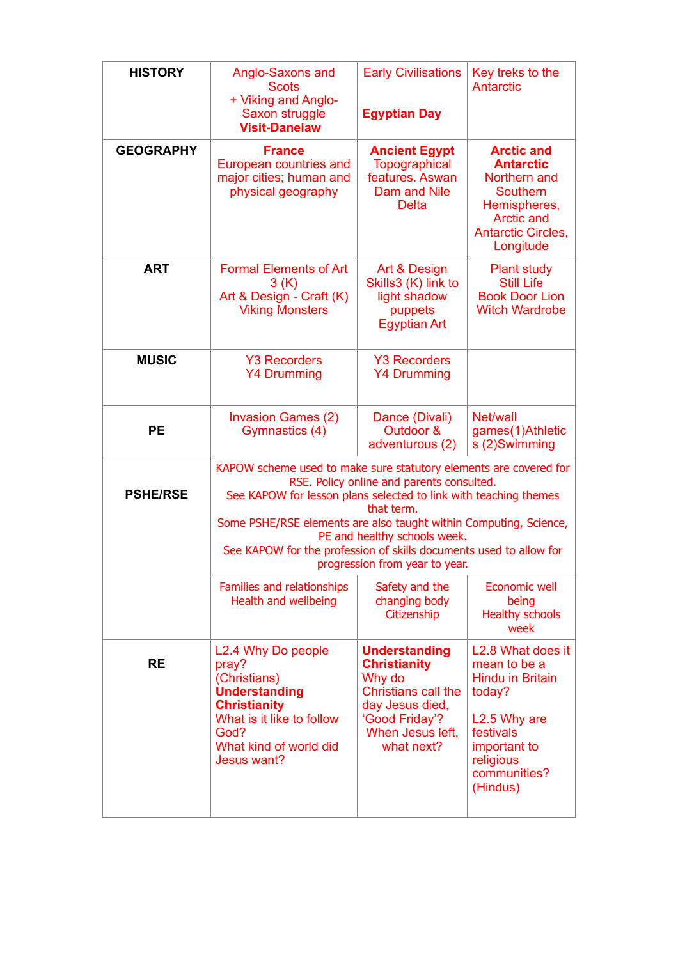| <b>HISTORY</b>   | Anglo-Saxons and<br><b>Scots</b><br>+ Viking and Anglo-<br>Saxon struggle<br><b>Visit-Danelaw</b>                                                                                                                                                                                                                                                                                                             | <b>Early Civilisations</b><br><b>Egyptian Day</b>                                                                                                          | Key treks to the<br>Antarctic                                                                                                                                            |
|------------------|---------------------------------------------------------------------------------------------------------------------------------------------------------------------------------------------------------------------------------------------------------------------------------------------------------------------------------------------------------------------------------------------------------------|------------------------------------------------------------------------------------------------------------------------------------------------------------|--------------------------------------------------------------------------------------------------------------------------------------------------------------------------|
| <b>GEOGRAPHY</b> | <b>France</b><br>European countries and<br>major cities; human and<br>physical geography                                                                                                                                                                                                                                                                                                                      | <b>Ancient Egypt</b><br><b>Topographical</b><br>features. Aswan<br>Dam and Nile<br><b>Delta</b>                                                            | <b>Arctic and</b><br><b>Antarctic</b><br>Northern and<br><b>Southern</b><br>Hemispheres,<br><b>Arctic and</b><br><b>Antarctic Circles,</b><br>Longitude                  |
| <b>ART</b>       | <b>Formal Elements of Art</b><br>3(K)<br>Art & Design - Craft (K)<br><b>Viking Monsters</b>                                                                                                                                                                                                                                                                                                                   | Art & Design<br>Skills3 (K) link to<br>light shadow<br>puppets<br><b>Egyptian Art</b>                                                                      | <b>Plant study</b><br><b>Still Life</b><br><b>Book Door Lion</b><br><b>Witch Wardrobe</b>                                                                                |
| <b>MUSIC</b>     | <b>Y3 Recorders</b><br><b>Y4 Drumming</b>                                                                                                                                                                                                                                                                                                                                                                     | <b>Y3 Recorders</b><br><b>Y4 Drumming</b>                                                                                                                  |                                                                                                                                                                          |
| <b>PE</b>        | <b>Invasion Games (2)</b><br>Gymnastics (4)                                                                                                                                                                                                                                                                                                                                                                   | Dance (Divali)<br>Outdoor &<br>adventurous (2)                                                                                                             | Net/wall<br>games(1)Athletic<br>s (2)Swimming                                                                                                                            |
| <b>PSHE/RSE</b>  | KAPOW scheme used to make sure statutory elements are covered for<br>RSE. Policy online and parents consulted.<br>See KAPOW for lesson plans selected to link with teaching themes<br>that term.<br>Some PSHE/RSE elements are also taught within Computing, Science,<br>PE and healthy schools week.<br>See KAPOW for the profession of skills documents used to allow for<br>progression from year to year. |                                                                                                                                                            |                                                                                                                                                                          |
|                  | Families and relationships<br>Health and wellbeing                                                                                                                                                                                                                                                                                                                                                            | Safety and the<br>changing body<br>Citizenship                                                                                                             | Economic well<br>being<br><b>Healthy schools</b><br>week                                                                                                                 |
| <b>RE</b>        | L2.4 Why Do people<br>pray?<br>(Christians)<br><b>Understanding</b><br><b>Christianity</b><br>What is it like to follow<br>God?<br>What kind of world did<br>Jesus want?                                                                                                                                                                                                                                      | <b>Understanding</b><br><b>Christianity</b><br>Why do<br><b>Christians call the</b><br>day Jesus died,<br>'Good Friday'?<br>When Jesus left,<br>what next? | L2.8 What does it<br>mean to be a<br><b>Hindu in Britain</b><br>today?<br>L <sub>2.5</sub> Why are<br>festivals<br>important to<br>religious<br>communities?<br>(Hindus) |